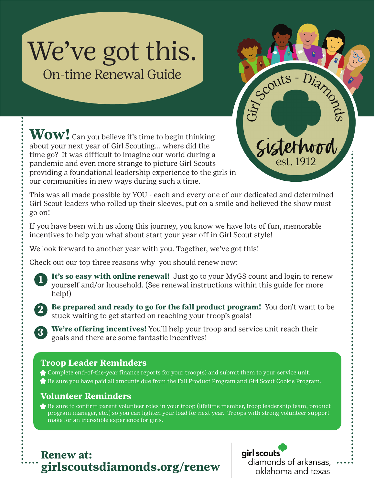# We've got this. On-time Renewal Guide

**Wow!** Can you believe it's time to begin thinking about your next year of Girl Scouting... where did the time go? It was difficult to imagine our world during a pandemic and even more strange to picture Girl Scouts providing a foundational leadership experience to the girls in our communities in new ways during such a time.

This was all made possible by YOU - each and every one of our dedicated and determined Girl Scout leaders who rolled up their sleeves, put on a smile and believed the show must go on!

If you have been with us along this journey, you know we have lots of fun, memorable incentives to help you what about start your year off in Girl Scout style!

We look forward to another year with you. Together, we've got this!

Check out our top three reasons why you should renew now:

It's so easy with online renewal! Just go to your MyGS count and login to renew yourself and/or household. (See renewal instructions within this guide for more help!)



**3**

**1**

**Be prepared and ready to go for the fall product program!** You don't want to be stuck waiting to get started on reaching your troop's goals!

**We're offering incentives!** You'll help your troop and service unit reach their goals and there are some fantastic incentives!

#### **Troop Leader Reminders**

Complete end-of-the-year finance reports for your troop(s) and submit them to your service unit. Be sure you have paid all amounts due from the Fall Product Program and Girl Scout Cookie Program.

#### **Volunteer Reminders**

 $\blacklozenge$  Be sure to confirm parent volunteer roles in your troop (lifetime member, troop leadership team, product program manager, etc.) so you can lighten your load for next year. Troops with strong volunteer support make for an incredible experience for girls.





Scouts-Diamos

Sisterhood

est. 1912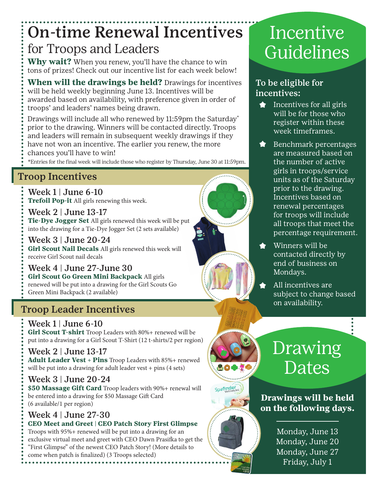## On-time Renewal Incentives for Troops and Leaders

**Why wait?** When you renew, you'll have the chance to win tons of prizes! Check out our incentive list for each week below!

**When will the drawings be held?** Drawings for incentives will be held weekly beginning June 13. Incentives will be awarded based on availability, with preference given in order of troops' and leaders' names being drawn.

Drawings will include all who renewed by 11:59pm the Saturday\* prior to the drawing. Winners will be contacted directly. Troops and leaders will remain in subsequent weekly drawings if they have not won an incentive. The earlier you renew, the more chances you'll have to win!

\*Entries for the final week will include those who register by Thursday, June 30 at 11:59pm.

### Troop Incentives

Week 1 | June 6-10 **Trefoil Pop-it** All girls renewing this week.

Week 2 | June 13-17 **Tie-Dye Jogger Set** All girls renewed this week will be put into the drawing for a Tie-Dye Jogger Set (2 sets available)

Week 3 | June 20-24 **Girl Scout Nail Decals** All girls renewed this week will receive Girl Scout nail decals

Week 4 | June 27-June 30 **Girl Scout Go Green Mini Backpack** All girls renewed will be put into a drawing for the Girl Scouts Go Green Mini Backpack (2 available)

### Troop Leader Incentives

Week 1 | June 6-10 **Girl Scout T-shirt** Troop Leaders with 80%+ renewed will be put into a drawing for a Girl Scout T-Shirt (12 t-shirts/2 per region)

Week 2 | June 13-17 **Adult Leader Vest + Pins** Troop Leaders with 85%+ renewed will be put into a drawing for adult leader vest + pins (4 sets)

Week 3 | June 20-24 **\$50 Massage Gift Card** Troop leaders with 90%+ renewal will be entered into a drawing for \$50 Massage Gift Card (6 available/1 per region)

Week 4 | June 27-30 **CEO Meet and Greet | CEO Patch Story First Glimpse** Troops with 95%+ renewed will be put into a drawing for an exclusive virtual meet and greet with CEO Dawn Prasifka to get the "First Glimpse" of the newest CEO Patch Story! (More details to

come when patch is finalized) (3 Troops selected)

# Incentive Guidelines

#### To be eligible for incentives:

- Incentives for all girls  $\blacklozenge$ will be for those who register within these week timeframes.
- Benchmark percentages are measured based on the number of active girls in troops/service units as of the Saturday prior to the drawing. Incentives based on renewal percentages for troops will include all troops that meet the percentage requirement.
- Winners will be contacted directly by end of business on Mondays.
- All incentives are subject to change based on availability.

# Drawing Dates

**Drawings will be held on the following days.**

> Monday, June 13 Monday, June 20 Monday, June 27 Friday, July 1